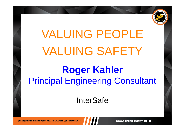

## **Roger Kahler** Principal Engineering Consultant

### **InterSafe**

**OUEENSLAND MINING INDUSTRY HEALTH & SAFETY CONFERENCE 2013** 

www.qldminingsafety.org.au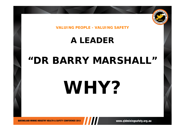

### **A LEADER**

## **"DR BARRY MARSHALL"**

# **WHY?**

www.qldminingsafety.org.au

**OUEENSLAND MINING INDUSTRY HEALTH & SAFETY CONFERENCE 2013**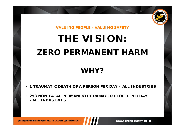

## **THE VISION:ZERO PERMANENT HARM**

### **WHY?**

- •**1 TRAUMATIC DEATH OF A PERSON PER DAY – ALL INDUSTRIES**
- • **253 NON-FATAL PERMANENTLY DAMAGED PEOPLE PER DAY - ALL INDUSTRIES**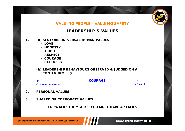

#### **LEADERSHIP & VALUES**

#### **1.(a) SIX CORE UNIVERSAL HUMAN VALUES**

- *LOVE*
- *HONESTY*
- *TRUST*
- *RESPECT*
- *COURAGE*
- *FAIRNESS*

#### **(b) LEADERSHIP BEHAVIOURS OBSERVED & JUDGED ON A CONTINUUM. E.g.**

*+ COURAGE - Courageous <…………………………………………………………..>Fearful*

- **2.PERSONAL VALUES**
- **3.SHARED OR CORPORATE VALUES**

**TO "WALK" THE "TALK", YOU MUST HAVE A "TALK".**

**OUEENSLAND MINING INDUSTRY HEALTH & SAFETY CONFERENCE 2013** 

www.qldminingsafety.org.au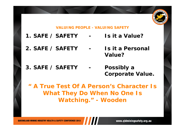

- **1. SAFE / SAFETY - Is it a Value?**
- **2. SAFE / SAFETY - Is it a Personal Value?**
- **3. SAFE / SAFETY - Possibly a Corporate Value.**

*" A True Test Of A Person's Character Is What They Do When No One Is Watching." - Wooden*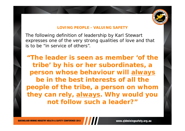

The following definition of leadership by Karl Stewart expresses one of the very strong qualities of love and that is to be "in service of others".

**"***The leader is seen as member 'of the tribe' by his or her subordinates, a person whose behaviour will always be in the best interests of all the people of the tribe, a person on whom they can rely, always. Why would you not follow such a leader?"*